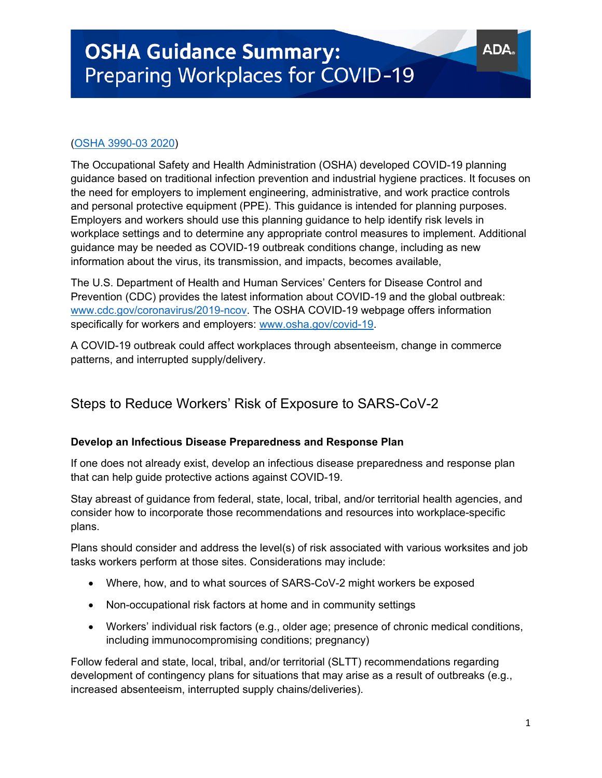# (OSHA 3990-03 2020)

The Occupational Safety and Health Administration (OSHA) developed COVID-19 planning guidance based on traditional infection prevention and industrial hygiene practices. It focuses on the need for employers to implement engineering, administrative, and work practice controls and personal protective equipment (PPE). This guidance is intended for planning purposes. Employers and workers should use this planning guidance to help identify risk levels in workplace settings and to determine any appropriate control measures to implement. Additional guidance may be needed as COVID-19 outbreak conditions change, including as new information about the virus, its transmission, and impacts, becomes available,

The U.S. Department of Health and Human Services' Centers for Disease Control and Prevention (CDC) provides the latest information about COVID-19 and the global outbreak: www.cdc.gov/coronavirus/2019-ncov. The OSHA COVID-19 webpage offers information specifically for workers and employers: www.osha.gov/covid-19.

A COVID-19 outbreak could affect workplaces through absenteeism, change in commerce patterns, and interrupted supply/delivery.

# Steps to Reduce Workers' Risk of Exposure to SARS-CoV-2

### **Develop an Infectious Disease Preparedness and Response Plan**

If one does not already exist, develop an infectious disease preparedness and response plan that can help guide protective actions against COVID-19.

Stay abreast of guidance from federal, state, local, tribal, and/or territorial health agencies, and consider how to incorporate those recommendations and resources into workplace-specific plans.

Plans should consider and address the level(s) of risk associated with various worksites and job tasks workers perform at those sites. Considerations may include:

- Where, how, and to what sources of SARS-CoV-2 might workers be exposed
- Non-occupational risk factors at home and in community settings
- Workers' individual risk factors (e.g., older age; presence of chronic medical conditions, including immunocompromising conditions; pregnancy)

Follow federal and state, local, tribal, and/or territorial (SLTT) recommendations regarding development of contingency plans for situations that may arise as a result of outbreaks (e.g., increased absenteeism, interrupted supply chains/deliveries).

AD/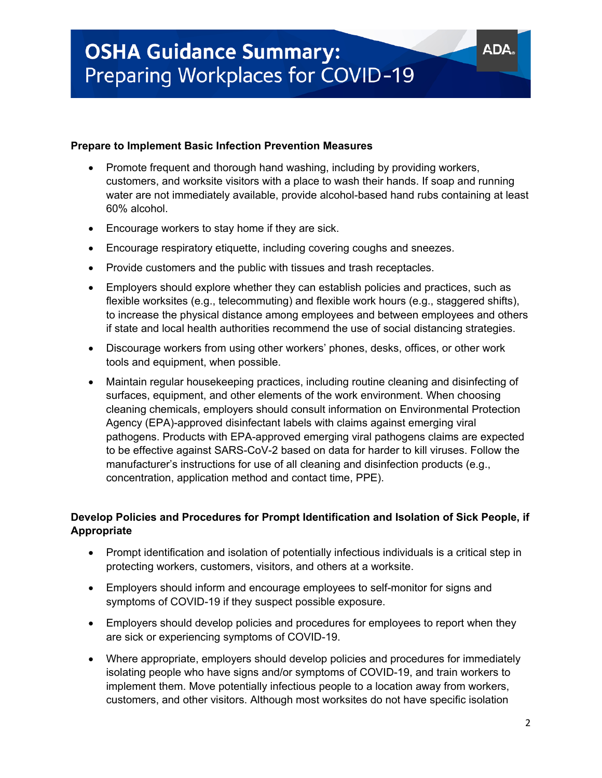### **Prepare to Implement Basic Infection Prevention Measures**

- Promote frequent and thorough hand washing, including by providing workers, customers, and worksite visitors with a place to wash their hands. If soap and running water are not immediately available, provide alcohol-based hand rubs containing at least 60% alcohol.
- Encourage workers to stay home if they are sick.
- Encourage respiratory etiquette, including covering coughs and sneezes.
- Provide customers and the public with tissues and trash receptacles.
- Employers should explore whether they can establish policies and practices, such as flexible worksites (e.g., telecommuting) and flexible work hours (e.g., staggered shifts), to increase the physical distance among employees and between employees and others if state and local health authorities recommend the use of social distancing strategies.
- Discourage workers from using other workers' phones, desks, offices, or other work tools and equipment, when possible.
- Maintain regular housekeeping practices, including routine cleaning and disinfecting of surfaces, equipment, and other elements of the work environment. When choosing cleaning chemicals, employers should consult information on Environmental Protection Agency (EPA)-approved disinfectant labels with claims against emerging viral pathogens. Products with EPA-approved emerging viral pathogens claims are expected to be effective against SARS-CoV-2 based on data for harder to kill viruses. Follow the manufacturer's instructions for use of all cleaning and disinfection products (e.g., concentration, application method and contact time, PPE).

# **Develop Policies and Procedures for Prompt Identification and Isolation of Sick People, if Appropriate**

- Prompt identification and isolation of potentially infectious individuals is a critical step in protecting workers, customers, visitors, and others at a worksite.
- Employers should inform and encourage employees to self-monitor for signs and symptoms of COVID-19 if they suspect possible exposure.
- Employers should develop policies and procedures for employees to report when they are sick or experiencing symptoms of COVID-19.
- Where appropriate, employers should develop policies and procedures for immediately isolating people who have signs and/or symptoms of COVID-19, and train workers to implement them. Move potentially infectious people to a location away from workers, customers, and other visitors. Although most worksites do not have specific isolation

**ADA**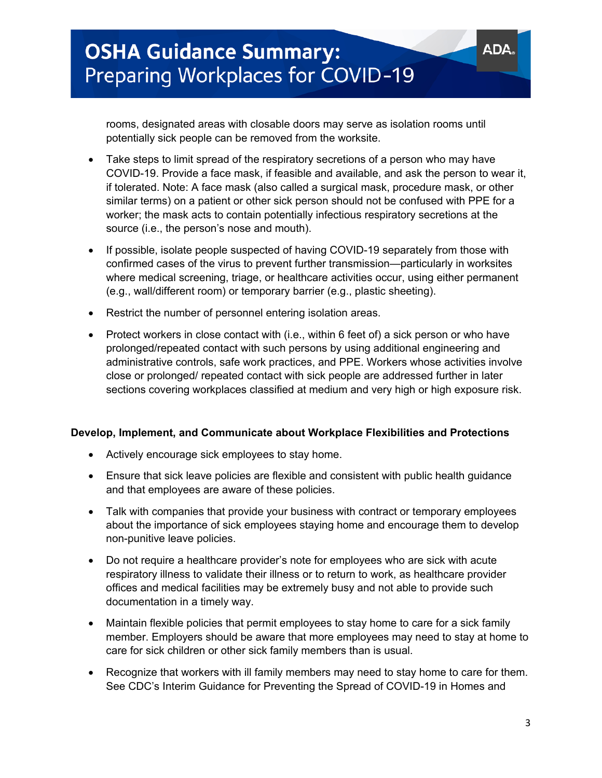rooms, designated areas with closable doors may serve as isolation rooms until potentially sick people can be removed from the worksite.

- Take steps to limit spread of the respiratory secretions of a person who may have COVID-19. Provide a face mask, if feasible and available, and ask the person to wear it, if tolerated. Note: A face mask (also called a surgical mask, procedure mask, or other similar terms) on a patient or other sick person should not be confused with PPE for a worker; the mask acts to contain potentially infectious respiratory secretions at the source (i.e., the person's nose and mouth).
- If possible, isolate people suspected of having COVID-19 separately from those with confirmed cases of the virus to prevent further transmission—particularly in worksites where medical screening, triage, or healthcare activities occur, using either permanent (e.g., wall/different room) or temporary barrier (e.g., plastic sheeting).
- Restrict the number of personnel entering isolation areas.
- Protect workers in close contact with (i.e., within 6 feet of) a sick person or who have prolonged/repeated contact with such persons by using additional engineering and administrative controls, safe work practices, and PPE. Workers whose activities involve close or prolonged/ repeated contact with sick people are addressed further in later sections covering workplaces classified at medium and very high or high exposure risk.

### **Develop, Implement, and Communicate about Workplace Flexibilities and Protections**

- Actively encourage sick employees to stay home.
- Ensure that sick leave policies are flexible and consistent with public health guidance and that employees are aware of these policies.
- Talk with companies that provide your business with contract or temporary employees about the importance of sick employees staying home and encourage them to develop non-punitive leave policies.
- Do not require a healthcare provider's note for employees who are sick with acute respiratory illness to validate their illness or to return to work, as healthcare provider offices and medical facilities may be extremely busy and not able to provide such documentation in a timely way.
- Maintain flexible policies that permit employees to stay home to care for a sick family member. Employers should be aware that more employees may need to stay at home to care for sick children or other sick family members than is usual.
- Recognize that workers with ill family members may need to stay home to care for them. See CDC's Interim Guidance for Preventing the Spread of COVID-19 in Homes and

**ADA**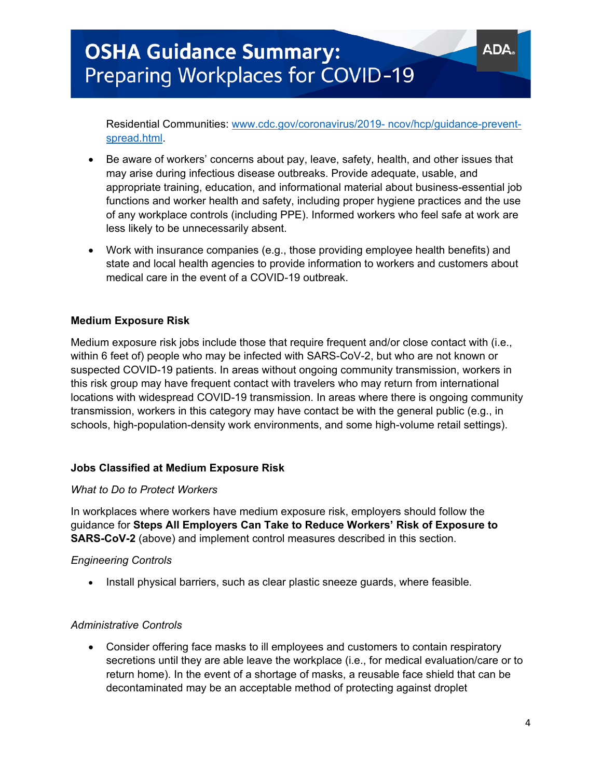Residential Communities: www.cdc.gov/coronavirus/2019- ncov/hcp/guidance-preventspread.html.

- Be aware of workers' concerns about pay, leave, safety, health, and other issues that may arise during infectious disease outbreaks. Provide adequate, usable, and appropriate training, education, and informational material about business-essential job functions and worker health and safety, including proper hygiene practices and the use of any workplace controls (including PPE). Informed workers who feel safe at work are less likely to be unnecessarily absent.
- Work with insurance companies (e.g., those providing employee health benefits) and state and local health agencies to provide information to workers and customers about medical care in the event of a COVID-19 outbreak.

### **Medium Exposure Risk**

Medium exposure risk jobs include those that require frequent and/or close contact with (i.e., within 6 feet of) people who may be infected with SARS-CoV-2, but who are not known or suspected COVID-19 patients. In areas without ongoing community transmission, workers in this risk group may have frequent contact with travelers who may return from international locations with widespread COVID-19 transmission. In areas where there is ongoing community transmission, workers in this category may have contact be with the general public (e.g., in schools, high-population-density work environments, and some high-volume retail settings).

### **Jobs Classified at Medium Exposure Risk**

### *What to Do to Protect Workers*

In workplaces where workers have medium exposure risk, employers should follow the guidance for **Steps All Employers Can Take to Reduce Workers' Risk of Exposure to SARS-CoV-2** (above) and implement control measures described in this section.

### *Engineering Controls*

• Install physical barriers, such as clear plastic sneeze guards, where feasible.

### *Administrative Controls*

• Consider offering face masks to ill employees and customers to contain respiratory secretions until they are able leave the workplace (i.e., for medical evaluation/care or to return home). In the event of a shortage of masks, a reusable face shield that can be decontaminated may be an acceptable method of protecting against droplet

AD/